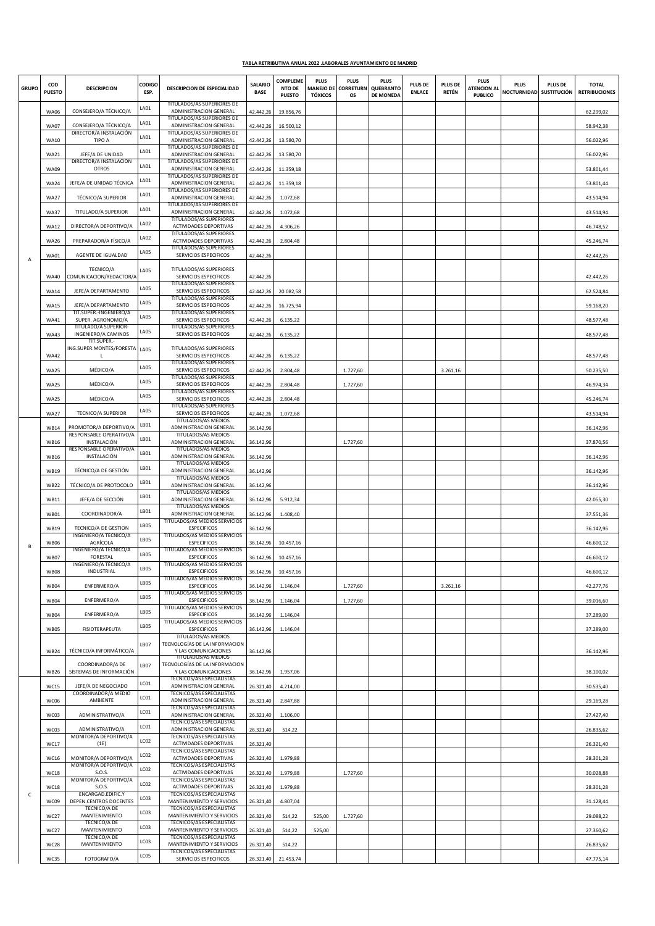## **TABLA RETRIBUTIVA ANUAL 2022 .LABORALES AYUNTAMIENTO DE MADRID**

| <b>GRUPO</b> | COD<br><b>PUESTO</b> | <b>DESCRIPCION</b>                                   | CODIGO<br>ESP.   | DESCRIPCION DE ESPECIALIDAD                                   | SALARIO<br><b>BASE</b> | <b>COMPLEME</b><br>NTO DE<br><b>PUESTO</b> | <b>PLUS</b><br><b>TÓXICOS</b> | <b>PLUS</b><br>MANEJO DE CORRETURN<br>os | <b>PLUS</b><br>QUEBRANTO<br><b>DE MONEDA</b> | PLUS DE<br><b>ENLACE</b> | PLUS DE<br>RETÉN | <b>PLUS</b><br><b>ATENCION AL</b><br><b>PUBLICO</b> | <b>PLUS</b><br>NOCTURNIDAD SUSTITUCIÓN | <b>PLUS DE</b> | <b>TOTAL</b><br><b>RETRIBUCIONES</b> |
|--------------|----------------------|------------------------------------------------------|------------------|---------------------------------------------------------------|------------------------|--------------------------------------------|-------------------------------|------------------------------------------|----------------------------------------------|--------------------------|------------------|-----------------------------------------------------|----------------------------------------|----------------|--------------------------------------|
| А            | <b>WA06</b>          | CONSEJERO/A TÉCNICO/A                                | LA01             | TITULADOS/AS SUPERIORES DE<br>ADMINISTRACION GENERAL          | 42.442,26              | 19.856,76                                  |                               |                                          |                                              |                          |                  |                                                     |                                        |                | 62.299,02                            |
|              | <b>WA07</b>          | CONSEJERO/A TÉCNICO/A                                | LA01             | TITULADOS/AS SUPERIORES DE<br>ADMINISTRACION GENERAL          | 42.442,26              | 16.500,12                                  |                               |                                          |                                              |                          |                  |                                                     |                                        |                | 58.942,38                            |
|              | <b>WA10</b>          | DIRECTOR/A INSTALACIÓN<br>TIPO A                     | LA01             | TITULADOS/AS SUPERIORES DE<br>ADMINISTRACION GENERAL          | 42.442,26              | 13.580,70                                  |                               |                                          |                                              |                          |                  |                                                     |                                        |                | 56.022,96                            |
|              | <b>WA21</b>          | JEFE/A DE UNIDAD                                     | LA01             | TITULADOS/AS SUPERIORES DE<br>ADMINISTRACION GENERAL          | 42.442,26              | 13.580,70                                  |                               |                                          |                                              |                          |                  |                                                     |                                        |                | 56.022,96                            |
|              | <b>WA09</b>          | DIRECTOR/A INSTALACIÓN<br><b>OTROS</b>               | LA01             | TITULADOS/AS SUPERIORES DE<br>ADMINISTRACION GENERAL          | 42.442,26              | 11.359,18                                  |                               |                                          |                                              |                          |                  |                                                     |                                        |                | 53.801,44                            |
|              |                      | JEFE/A DE UNIDAD TÉCNICA                             | LA01             | TITULADOS/AS SUPERIORES DE<br><b>ADMINISTRACION GENERAL</b>   |                        |                                            |                               |                                          |                                              |                          |                  |                                                     |                                        |                |                                      |
|              | <b>WA24</b>          |                                                      | LA01             | TITULADOS/AS SUPERIORES DE                                    | 42.442,26              | 11.359,18                                  |                               |                                          |                                              |                          |                  |                                                     |                                        |                | 53.801,44                            |
|              | <b>WA27</b>          | <b>TÉCNICO/A SUPERIOR</b>                            | LA01             | ADMINISTRACION GENERAL<br>TITULADOS/AS SUPERIORES DE          | 42.442,26              | 1.072,68                                   |                               |                                          |                                              |                          |                  |                                                     |                                        |                | 43.514,94                            |
|              | <b>WA37</b>          | TITULADO/A SUPERIOR                                  | LA02             | ADMINISTRACION GENERAL<br>TITULADOS/AS SUPERIORES             | 42.442,26              | 1.072,68                                   |                               |                                          |                                              |                          |                  |                                                     |                                        |                | 43.514,94                            |
|              | <b>WA12</b>          | DIRECTOR/A DEPORTIVO/A                               |                  | ACTIVIDADES DEPORTIVAS<br>TITULADOS/AS SUPERIORES             | 42.442,26              | 4.306,26                                   |                               |                                          |                                              |                          |                  |                                                     |                                        |                | 46.748,52                            |
|              | <b>WA26</b>          | PREPARADOR/A FÍSICO/A                                | <b>LA02</b>      | ACTIVIDADES DEPORTIVAS<br>TITULADOS/AS SUPERIORES             | 42.442,26              | 2.804,48                                   |                               |                                          |                                              |                          |                  |                                                     |                                        |                | 45.246,74                            |
|              | <b>WA01</b>          | AGENTE DE IGUALDAD                                   | LA05             | SERVICIOS ESPECIFICOS                                         | 42.442,26              |                                            |                               |                                          |                                              |                          |                  |                                                     |                                        |                | 42.442,26                            |
|              | <b>WA40</b>          | TECNICO/A<br>COMUNICACION/REDACTOR/A                 | <b>LA05</b>      | TITULADOS/AS SUPERIORES<br>SERVICIOS ESPECIFICOS              | 42.442,26              |                                            |                               |                                          |                                              |                          |                  |                                                     |                                        |                | 42.442,26                            |
|              | <b>WA14</b>          | JEFE/A DEPARTAMENTO                                  | LA05             | <b>TITULADOS/AS SUPERIORES</b><br>SERVICIOS ESPECIFICOS       | 42.442,26              | 20.082,58                                  |                               |                                          |                                              |                          |                  |                                                     |                                        |                | 62.524,84                            |
|              | <b>WA15</b>          | JEFE/A DEPARTAMENTO                                  | LA05             | TITULADOS/AS SUPERIORES<br>SERVICIOS ESPECIFICOS              | 42.442,26              | 16.725,94                                  |                               |                                          |                                              |                          |                  |                                                     |                                        |                | 59.168,20                            |
|              |                      | TIT.SUPER.-INGENIERO/A                               | <b>LA05</b>      | TITULADOS/AS SUPERIORES                                       |                        |                                            |                               |                                          |                                              |                          |                  |                                                     |                                        |                |                                      |
|              | <b>WA41</b>          | SUPER. AGRONOMO/A<br>TITULADO/A SUPERIOR-            | LA05             | SERVICIOS ESPECIFICOS<br>TITULADOS/AS SUPERIORES              | 42.442,26              | 6.135,22                                   |                               |                                          |                                              |                          |                  |                                                     |                                        |                | 48.577,48                            |
|              | <b>WA43</b>          | <b>INGENIERO/A CAMINOS</b><br>TIT.SUPER.-            |                  | SERVICIOS ESPECIFICOS                                         | 42.442,26              | 6.135,22                                   |                               |                                          |                                              |                          |                  |                                                     |                                        |                | 48.577,48                            |
|              | <b>WA42</b>          | ING.SUPER.MONTES/FORESTA<br>L.                       | <b>LA05</b>      | TITULADOS/AS SUPERIORES<br>SERVICIOS ESPECIFICOS              | 42.442,26              | 6.135,22                                   |                               |                                          |                                              |                          |                  |                                                     |                                        |                | 48.577,48                            |
|              | <b>WA25</b>          | MÉDICO/A                                             | LA05             | TITULADOS/AS SUPERIORES<br>SERVICIOS ESPECIFICOS              | 42.442,26              | 2.804,48                                   |                               | 1.727,60                                 |                                              |                          | 3.261,16         |                                                     |                                        |                | 50.235,50                            |
|              | <b>WA25</b>          | MÉDICO/A                                             | <b>LA05</b>      | <b>TITULADOS/AS SUPERIORES</b><br>SERVICIOS ESPECIFICOS       | 42.442,26              | 2.804,48                                   |                               | 1.727,60                                 |                                              |                          |                  |                                                     |                                        |                | 46.974,34                            |
|              | <b>WA25</b>          | MÉDICO/A                                             | LA05             | TITULADOS/AS SUPERIORES<br>SERVICIOS ESPECIFICOS              | 42.442,26              | 2.804,48                                   |                               |                                          |                                              |                          |                  |                                                     |                                        |                | 45.246,74                            |
|              | <b>WA27</b>          | <b>TECNICO/A SUPERIOR</b>                            | LA05             | <b>TITULADOS/AS SUPERIORES</b><br>SERVICIOS ESPECIFICOS       | 42.442,26              | 1.072,68                                   |                               |                                          |                                              |                          |                  |                                                     |                                        |                | 43.514,94                            |
|              |                      | PROMOTOR/A DEPORTIVO/A                               | LB01             | TITULADOS/AS MEDIOS<br>ADMINISTRACION GENERAL                 |                        |                                            |                               |                                          |                                              |                          |                  |                                                     |                                        |                |                                      |
|              | <b>WB14</b>          | RESPONSABLE OPERATIVO/A                              | LB01             | TITULADOS/AS MEDIOS                                           | 36.142,96              |                                            |                               |                                          |                                              |                          |                  |                                                     |                                        |                | 36.142,96                            |
|              | <b>WB16</b>          | INSTALACIÓN<br>RESPONSABLE OPERATIVO/A               | LB01             | ADMINISTRACION GENERAL<br>TITULADOS/AS MEDIOS                 | 36.142,96              |                                            |                               | 1.727,60                                 |                                              |                          |                  |                                                     |                                        |                | 37.870,56                            |
|              | <b>WB16</b>          | INSTALACIÓN                                          | LB01             | ADMINISTRACION GENERAL<br>TITULADOS/AS MEDIOS                 | 36.142,96              |                                            |                               |                                          |                                              |                          |                  |                                                     |                                        |                | 36.142,96                            |
|              | <b>WB19</b>          | TÉCNICO/A DE GESTIÓN                                 | LB01             | ADMINISTRACION GENERAL<br>TITULADOS/AS MEDIOS                 | 36.142,96              |                                            |                               |                                          |                                              |                          |                  |                                                     |                                        |                | 36.142,96                            |
|              | <b>WB22</b>          | TÉCNICO/A DE PROTOCOLO                               |                  | ADMINISTRACION GENERAL<br>TITULADOS/AS MEDIOS                 | 36.142,96              |                                            |                               |                                          |                                              |                          |                  |                                                     |                                        |                | 36.142,96                            |
|              | WB11                 | JEFE/A DE SECCIÓN                                    | LB01             | ADMINISTRACION GENERAL<br>TITULADOS/AS MEDIOS                 | 36.142,96              | 5.912,34                                   |                               |                                          |                                              |                          |                  |                                                     |                                        |                | 42.055,30                            |
|              | <b>WB01</b>          | COORDINADOR/A                                        | LB01             | ADMINISTRACION GENERAL<br>TITULADOS/AS MEDIOS SERVICIOS       | 36.142,96              | 1.408,40                                   |                               |                                          |                                              |                          |                  |                                                     |                                        |                | 37.551,36                            |
|              | <b>WB19</b>          | <b>TECNICO/A DE GESTION</b><br>INGENIERO/A TÉCNICO/A | <b>LB05</b>      | <b>ESPECIFICOS</b><br>TITULADOS/AS MEDIOS SERVICIOS           | 36.142,96              |                                            |                               |                                          |                                              |                          |                  |                                                     |                                        |                | 36.142,96                            |
| B            | <b>WB06</b>          | AGRÍCOLA<br>INGENIERO/A TÉCNICO/A                    | LB05             | <b>ESPECIFICOS</b><br>TITULADOS/AS MEDIOS SERVICIOS           | 36.142,96              | 10.457,16                                  |                               |                                          |                                              |                          |                  |                                                     |                                        |                | 46.600,12                            |
|              | <b>WB07</b>          | <b>FORESTAL</b><br>INGENIERO/A TÉCNICO/A             | <b>LB05</b>      | <b>ESPECIFICOS</b><br>TITULADOS/AS MEDIOS SERVICIOS           | 36.142,96              | 10.457,16                                  |                               |                                          |                                              |                          |                  |                                                     |                                        |                | 46.600,12                            |
|              | <b>WB08</b>          | INDUSTRIAL                                           | <b>LB05</b>      | <b>ESPECIFICOS</b>                                            | 36.142,96              | 10.457,16                                  |                               |                                          |                                              |                          |                  |                                                     |                                        |                | 46.600,12                            |
|              | <b>WB04</b>          | ENFERMERO/A                                          | LB05             | TITULADOS/AS MEDIOS SERVICIOS<br><b>ESPECIFICOS</b>           | 36.142,96              | 1.146,04                                   |                               | 1.727,60                                 |                                              |                          | 3.261,16         |                                                     |                                        |                | 42.277,76                            |
|              | <b>WB04</b>          | ENFERMERO/A                                          | LB05             | TITULADOS/AS MEDIOS SERVICIOS<br><b>ESPECIFICOS</b>           | 36.142,96              | 1.146,04                                   |                               | 1.727,60                                 |                                              |                          |                  |                                                     |                                        |                | 39.016,60                            |
|              | <b>WB04</b>          | ENFERMERO/A                                          | LB05             | TITULADOS/AS MEDIOS SERVICIOS<br><b>ESPECIFICOS</b>           | 36.142,96              | 1.146,04                                   |                               |                                          |                                              |                          |                  |                                                     |                                        |                | 37.289,00                            |
|              | <b>WB05</b>          | FISIOTERAPEUTA                                       | <b>LB05</b>      | TITULADOS/AS MEDIOS SERVICIOS<br><b>ESPECIFICOS</b>           | 36.142,96              | 1.146,04                                   |                               |                                          |                                              |                          |                  |                                                     |                                        |                | 37.289,00                            |
|              |                      |                                                      | LB07             | TITULADOS/AS MEDIOS<br>TECNOLOGÍAS DE LA INFORMACION          |                        |                                            |                               |                                          |                                              |                          |                  |                                                     |                                        |                |                                      |
|              | <b>WB24</b>          | TÉCNICO/A INFORMÁTICO/A                              |                  | Y LAS COMUNICACIONES<br><b>TITULADOS/AS MEDIOS</b>            | 36.142,96              |                                            |                               |                                          |                                              |                          |                  |                                                     |                                        |                | 36.142,96                            |
|              | <b>WB26</b>          | COORDINADOR/A DE<br>SISTEMAS DE INFORMACIÓN          | LB07             | TECNOLOGÍAS DE LA INFORMACION<br>Y LAS COMUNICACIONES         | 36.142,96              | 1.957,06                                   |                               |                                          |                                              |                          |                  |                                                     |                                        |                | 38.100,02                            |
|              | <b>WC15</b>          | JEFE/A DE NEGOCIADO                                  | LC01             | <b>TECNICOS/AS ESPECIALISTAS</b><br>ADMINISTRACION GENERAL    | 26.321,40              | 4.214,00                                   |                               |                                          |                                              |                          |                  |                                                     |                                        |                | 30.535,40                            |
|              | WC06                 | COORDINADOR/A MEDIO<br>AMBIENTE                      | LC01             | TECNICOS/AS ESPECIALISTAS<br>ADMINISTRACION GENERAL           | 26.321,40              | 2.847,88                                   |                               |                                          |                                              |                          |                  |                                                     |                                        |                | 29.169,28                            |
| c            | WC03                 | ADMINISTRATIVO/A                                     | LC01             | TECNICOS/AS ESPECIALISTAS<br>ADMINISTRACION GENERAL           |                        |                                            |                               |                                          |                                              |                          |                  |                                                     |                                        |                |                                      |
|              |                      |                                                      | LC01             | <b>TECNICOS/AS ESPECIALISTAS</b>                              | 26.321,40              | 1.106,00                                   |                               |                                          |                                              |                          |                  |                                                     |                                        |                | 27.427,40                            |
|              | WC03                 | ADMINISTRATIVO/A<br>MONITOR/A DEPORTIVO/A            | LCO <sub>2</sub> | ADMINISTRACION GENERAL<br>TECNICOS/AS ESPECIALISTAS           | 26.321,40              | 514,22                                     |                               |                                          |                                              |                          |                  |                                                     |                                        |                | 26.835,62                            |
|              | <b>WC17</b>          | (1E)                                                 | LC <sub>02</sub> | ACTIVIDADES DEPORTIVAS<br><b>TECNICOS/AS ESPECIALISTAS</b>    | 26.321,40              |                                            |                               |                                          |                                              |                          |                  |                                                     |                                        |                | 26.321,40                            |
|              | WC16                 | MONITOR/A DEPORTIVO/A<br>MONITOR/A DEPORTIVO/A       |                  | ACTIVIDADES DEPORTIVAS<br>TECNICOS/AS ESPECIALISTAS           | 26.321,40              | 1.979,88                                   |                               |                                          |                                              |                          |                  |                                                     |                                        |                | 28.301,28                            |
|              | <b>WC18</b>          | S.O.S.<br>MONITOR/A DEPORTIVO/A                      | LCO <sub>2</sub> | ACTIVIDADES DEPORTIVAS<br>TECNICOS/AS ESPECIALISTAS           | 26.321,40              | 1.979,88                                   |                               | 1.727,60                                 |                                              |                          |                  |                                                     |                                        |                | 30.028,88                            |
|              | <b>WC18</b>          | S.O.S.<br>ENCARGAD.EDIFIC.Y                          | LCO <sub>2</sub> | ACTIVIDADES DEPORTIVAS<br>TECNICOS/AS ESPECIALISTAS           | 26.321,40              | 1.979,88                                   |                               |                                          |                                              |                          |                  |                                                     |                                        |                | 28.301,28                            |
|              | WC09                 | DEPEN.CENTROS DOCENTES<br><b>TÉCNICO/A DE</b>        | LC03             | MANTENIMIENTO Y SERVICIOS<br><b>TECNICOS/AS ESPECIALISTAS</b> | 26.321,40              | 4.807,04                                   |                               |                                          |                                              |                          |                  |                                                     |                                        |                | 31.128,44                            |
|              | <b>WC27</b>          | MANTENIMIENTO<br><b>TÉCNICO/A DE</b>                 | LC03             | MANTENIMIENTO Y SERVICIOS<br>TECNICOS/AS ESPECIALISTAS        | 26.321,40              | 514,22                                     | 525,00                        | 1.727,60                                 |                                              |                          |                  |                                                     |                                        |                | 29.088,22                            |
|              | <b>WC27</b>          | MANTENIMIENTO<br><b>TÉCNICO/A DE</b>                 | LC03             | MANTENIMIENTO Y SERVICIOS<br><b>TECNICOS/AS ESPECIALISTAS</b> | 26.321,40              | 514,22                                     | 525,00                        |                                          |                                              |                          |                  |                                                     |                                        |                | 27.360,62                            |
|              | <b>WC28</b>          | MANTENIMIENTO                                        | LC03             | MANTENIMIENTO Y SERVICIOS<br><b>TECNICOS/AS ESPECIALISTAS</b> | 26.321,40              | 514,22                                     |                               |                                          |                                              |                          |                  |                                                     |                                        |                | 26.835,62                            |
|              | <b>WC35</b>          | FOTOGRAFO/A                                          | LC05             | SERVICIOS ESPECIFICOS                                         | 26.321,40              | 21.453,74                                  |                               |                                          |                                              |                          |                  |                                                     |                                        |                | 47.775,14                            |